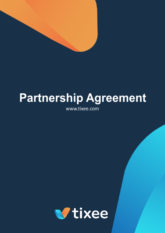

# **Partnership Agreement**

www.tixee.com

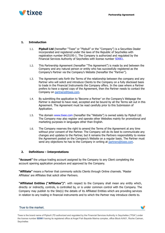

## **1. Introduction**

- 1.1. **Pipbull Ltd** (hereafter "Tixee" or "Pipbull" or the "Company") is a Securities Dealer incorporated and registered under the laws of the Republic of Seychelles with registration number 8425195-1. The Company is authorized and regulated by the Financial Services Authority of Seychelles with license number SD061.
- 1.2. This Partnership Agreement (hereafter "The Agreement") is made by and between the Company and any natural person or entity who has successfully registered as the Company's Partner via the Company's Website (hereafter the "Partner").
- 1.3. The Agreement sets forth the Terms of the relationship between the company and any Partner who will solicit and introduce Clients to the Company on a fully disclosed basis to trade in the Financial Instruments the Company offers. In the case where a Partner prefers to have a signed copy of the Agreement, then the Partner needs to contact the Company on [partners@tixee.com.](mailto:partners@tixee.com)
- 1.4. By submitting the application to 'Become a Partner' on the Company's Webpage the Partner is deemed to have read, accepted and be bound by all the Terms set out in this Agreement. The Agreement must be read carefully prior to this Submission of Application.
- 1.5. The domain www.tixee.com (hereafter the "Website") is owned solely by Pipbull Ltd. The Company may also register and operate other Websites mainly for promotional and marketing purposes in languages other than English.
- 1.6. The Company reserves the right to amend the Terms of the Agreement at any time without prior consent of the Partner. The Company will do its best to communicate any changes and updates to the Partner, but it remains the Partners responsibility to review the Agreement posted on the Company's Website on a regular basis. The Partner must send any objections he has to the Company in writing at [partners@tixee.com](mailto:partners@tixee.com).

## **2. Definitions – Interpretations**

**"Account"** the unique trading account assigned by the Company to any Client completing the account opening application procedure and approved by the Company.

**"Affiliate"** means a Partner that commonly solicits Clients through Online channels. 'Master Affiliates' are Affiliates that solicit other Partners.

**"Affiliated Entities ("Affiliates")"**: with respect to the Company shall mean any entity which, directly or indirectly, controls, is controlled by, or is under common control with the Company. The Company may publish to the Site(s) the details of its Affiliated Entities which are providing services in relation to any trading in financial instruments and to which the Partner may introduce clients to.

## True to the market.

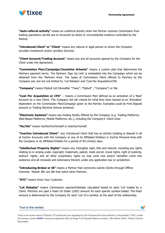

**"Auto-referral activity"** means an unethical activity when the Partner receives Commission from trading operations carried out on Accounts by direct or circumstantial evidence controlled by the Partner.

**"Introduced Client" or "Client**" means any natural or legal person to whom the Company provides investment and/or ancillary Services.

**"Client Account/Trading Account**" means any and all accounts opened by the Company for the Client under the Agreement.

**"Commission Plan/Campaign/Incentive Scheme"** means a custom plan that determines the Partners payment terms. The Partners 'Sign Up Link' is embedded into the Campaign which can be obtained from the 'Partners Area'. The types of Commission Plans offered to Partners by the Company are, but are not limited to, 'Lot Rebates' and 'Cost Per Acquisition/CPA'.

**"Company"** means Pipbull Ltd (Hereafter "Tixee"; "Pipbull" ; "Company") or We.

**"Cost Per Acquisition or CPA"** – means a Commission Plan defined as an activation of a 'Real' Account by a new Client. The Company will set criteria for what they have classed as an 'Activation' dependent on the Commission Plan/Campaign given to the Partner. Examples could be First Deposit amount or Trading Nominal Volume achieved.

**"Electronic Systems"** means any trading facility offered by the Company (e.g. Trading Platforms, Web-Based Platforms, Mobile Platforms, etc.), including the Company's 'Client Area'.

**"He/His"** means he/his/him/himself or she/her/herself.

**"Inactive Introduced Client"**: any Introduced Client that has no activity (trading or deposit in all of his/her Accounts with the Company or any of its Affiliated Entities) in his/her Personal Area with the Company or its Affiliated Entities for a period of 90 (ninety) days.

**"Intellectual Property Rights"** means any intangible right, title and interest, including any rights relating to or arising under copyright, trademark, patent, trade secret, moral rights, right of publicity, authors' rights, and all other proprietary rights as may exist now and/or hereafter come into existence and all renewals and extensions thereof, under any application law or jurisdiction.

**"Introducing Broker or IB"** means a Partner that commonly solicits Clients through Offline channels. 'Master IBs' are IBs that solicit other Partners.

**"KYC"** means Know Your Customer.

**"Lot Rebates"** means Commission payment/Rebate calculated based on each 'Lot' traded by a Client. Partners are paid a fixed US Dollar (USD) amount for each specific symbol traded. The fixed amount is determined by the Company for each 'Lot' of a symbol, at the start of the relationship.

#### True to the market.

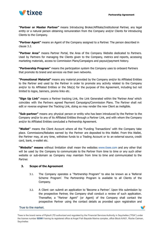

**"Partner or Master Partner"** means Introducing Broker/Affiliate/Institutional Partner, any legal entity or a natural person obtaining remuneration from the Company and/or Clients for introducing Clients to the Company.

**"Partner Agent"** means an Agent of the Company assigned to a Partner. The person described in clause 3.2.

**"Partner Area"** means Partner Portal, the Area of the Company Website dedicated to Partners. Used by Partners for managing the Clients given to the Company, metrics and reports, accessing marketing materials, access to Commission Plans/Campaigns and payout/payment history.

**"Partnership Program"** means the participation system the Company uses to onboard Partners that promote its brand and services via their own networks.

**"Promotional Material"** means any material provided by the Company and/or its Affiliated Entities to the Partner and used by the Partner in order to promote any activity related to the Company and/or to its Affiliated Entities or the Site(s) for the purpose of this Agreement, including but not limited to logos, banners, promo links etc.

**"Sign Up Link"** means a Partner tracking Link, the Link Generated within the 'Partner Area' which coincides with the Partners agreed Payment Campaigns/Commission Plans. The Partner shall not edit or reverse engineer the Tracking Link, doing so may render the new Client as ineligible.

**"Sub-partner"** means any physical person or entity who has been introduced by the Partner to the Company and/or to any of its Affiliated Entities through a Partner Link, and with whom the Company and/or its Affiliated Entities concluded a Partnership Agreement.

**"Wallet"** means the Client Account where all the 'Funding Transactions' with the Company take place. Commissions/Rebates earned by the Partner are deposited to this Wallet. From this Wallet, the Partner may, at any time, withdraw funds to a Trading Account or to an external source, credit card, bank, e-wallet etc.

**"Website" means** without limitation shall mean the websites www.tixee.com and any other that will be used by the Company to communicate to the Partner from time to time or any such other website or sub-domain as Company may maintain from time to time and communicated to the Partner.

## **3. Scope of the Agreement**

- 3.1. The Company operates a "Partnership Program" to also be known as a 'Referral Scheme Program'. The Partnership Program is available to all Clients of the Company.
- 3.2. A Client can submit an application to 'Become a Partner'. Upon this submission by the prospective Partner, the Company shall conduct a review of such application. Thereafter, a "Partner Agent" (or Agent) of the Company shall contact the prospective Partner using the contact details as provided upon registration and

w

True to the market.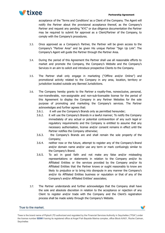

acceptance of the 'Terms and Conditions' as a Client of the Company. The Agent will notify the Partner about the provisional acceptance thereof, as the Company's Partner and request any pending "KYC" or due diligence documentation the Partner may be required to submit for approval as a Client/Partner of the Company, to comply with the Company's procedures.

- 3.3. Once approved as a Company's Partner, the Partner will be given access to the Company's "Partner Area" and be given His unique Partner "Sign Up Link". The Company's Agent will guide the Partner through the Partner Area.
- 3.4. During the period of this Agreement the Partner shall use all reasonable efforts to market and promote the Company, the Company's Website and the Company's Services in an aim to solicit and introduce prospective Clients to the Company.
- 3.5. The Partner shall only engage in marketing ("Offline and/or Online") and promotional activity related to the Company in any area, location, territory or jurisdiction located outside any Banned Jurisdictions.
- 3.6. The Company hereby grants to the Partner a royalty-free, nonexclusive, personal, non-transferable, non-assignable and non-sub-licensable license for the period of this Agreement to display the Company in any Partner Websites for the sole purpose of promoting and marketing the Company's services. The Partner acknowledges and further agrees that:
	- 3.6.1. it will use the Company's Brands only as permitted hereunder;
	- 3.6.2. it will use the Company's Brands in a lawful manner; To notify the Company immediately of any actual or potential contravention of any such legal or regulatory requirements and the Company is entitled to assume that any necessary authorisation, license and/or consent remains in effect until the Partner notifies the Company otherwise;
	- 3.6.3. the Company's Brands are and shall remain the sole property of the Company;
	- 3.6.4. neither now or the future, attempt to register any of the Company's Brand and/or domain name and/or use any term or mark confusingly similar to the Company's Brand.
	- 3.6.5. To act in good faith and not make any false and/or misleading representations or statements in relation to the Company and/or its Affiliated Entities or the services provided by the Company and/or its Affiliated Entities that the Partner knows or ought reasonably to know are likely to prejudice or to bring into disrepute in any manner the Company's and/or its Affiliated Entities business or reputation or that of any of the Company's and/or Affiliated Entities' associates;
- 3.7. The Partner understands and further acknowledges that the Company shall have the sole and absolute discretion in relation to the acceptance or rejection of any Client to register and/or trade with the Company and the Client's registration process shall be made solely through the Company's Website.

## True to the market.

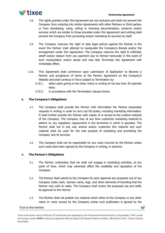

- 3.8. The rights granted under this Agreement are not exclusive and shall not prevent the Company from entering into similar Agreements with other Partners or third parties, or from developing, using, selling or licensing documentation, products and/or services which are similar to those provided under this Agreement and nothing shall prevent the Company from promoting and/or marketing its services by itself.
- 3.9. The Company reserves the right to take legal actions against the Partner in the event the Partner shall attempt to manipulate the Company's Brands and/or the arrangement under this Agreement. The Company reserves the right to withhold, setoff and/or deduct from any payment due to Partner hereunder in the event of such manipulation and/or abuse and may also Terminate this Agreement with immediate effect.
- 3.10. This Agreement shall commence upon submission of Application to Become a Partner and acceptance of terms of the Partner Agreement on the Company's Website and shall continue in force subject to Termination by:
	- 3.10.1. either party giving to the other notice in writing of not less than 30 calendar days;
	- 3.10.2. in accordance with the Termination clauses herein.

# **4. The Company's Obligations**

- 4.1. The Company shall provide the Partner with information the Partner reasonably requests in writing in order to carry out His duties, including marketing information. It shall further provide the Partner with copies of or access to the creative material of the Company. The Company may at any time customize marketing material to adhere to any regulatory requirement in the territories in which it operates. The Partner shall not in any way amend and/or customize this material and such material shall be used for the sole purpose of marketing and promoting the Company and its services.
- 4.2. The Company shall not be responsible for any costs incurred by the Partner unless such costs have been agreed by the Company in writing, in advance.

# **5. The Partner's Obligations**

- 5.1. The Partner undertakes that He shall not engage in marketing activities, at any point of time, which may adversely affect the credibility and reputation of the Company.
- 5.2. The Partner shall submit to the Company for prior approval any proposed use of any Company trade mark, domain name, logo, and other elements of branding that the Partner may wish to make. The Company shall review the proposed use and notify its approval to the Partner.
- 5.3. The Partner shall not publish any material which refers to the Company or any other name or mark owned by the Company unless such publication is agreed by the

#### True to the market.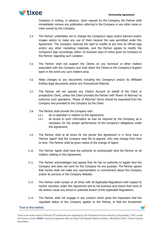

Company in writing, in advance. Upon request by the Company, the Partner shall immediately remove any publication referring to the Company or any other name or mark owned by the Company.

- 5.4. The Partner undertakes not to change the Company's logos and/or banners and/or images and/or to make any use of them beyond the uses permitted under this Agreement. The Company reserves the right to modify at any time its official logo and/or any other marketing materials, and the Partner agrees to modify the Company's logo accordingly within 10 business days of notice given by Company to the Partner regarding such variation.
- 5.5. The Partner shall not support the Clients on any technical or other matters associated with the Company and shall direct the Clients to the Company's Support team in the event any such matters arise.
- 5.6. Make changes to any documents including the Company's and/or its Affiliated Entities legal documents and/or any Promotional Material;
- 5.7. The Partner will not operate any Client's Account on behalf of the Client or prospective Client, unless the Client provides the Partner with 'Power of Attorney' to authorize such operations. 'Power of Attorney' forms should be requested from the Company and provided to the Company by the Client.
- 5.8. The Partner shall provide the Company with:
	- 5.8.1. all co-operation in relation to this Agreement;
	- 5.8.2. all access to such information as may be required by the Company, as is necessary for the proper performance of the Company's obligations under this Agreement.
- 5.9. The Partner shall at all times for the period this Agreement is in force have a 'Partner Agent' that the Company sees fits to appoint, who may change from time to time. The Partner shall be given notice of the change of Agent.
- 5.10. The Partner Agent shall have the authority to contractually bind the Partner on all matters relating to this Agreement.
- 5.11. The Partner acknowledges and agrees that He has no authority to legally bind the Company and does not work for the Company for any purpose. The Partner agrees that he/she shall not make any representation or commitment about the Company and/or its services or the Company Website.
- 5.12. The Partner shall comply at all times with all Applicable Regulations with respect to his/her activities under this Agreement and to His business and ensure that none of His actions cause any actual or potential breach of the Applicable Regulations.
- 5.13. The Partner shall not engage in any conduct which gives the impression that the regulated status of the Company applies to the Partner, or that the Investment

#### True to the market.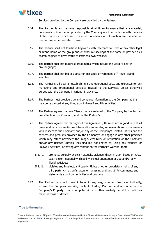

Services provided by the Company are provided by the Partner.

- 5.14. The Partner is and remains responsible at all times to ensure that any material, documents or information provided by the Company are in accordance with the laws of the country in which such material, documents or information are marketed or used or are to be marketed or used.
- 5.15. The partner shall not Purchase keywords with reference to Tixee or any other legal or brand name of the group and/or other misspellings of the name on pay-per-click search engines to drive traffic to Partner's own website;
- 5.16. The partner shall not purchase trademarks which include the word "Tixee" in any language;
- 5.17. The partner shall not bid or appear on misspells or variations of "Tixee" brand searches.
- 5.18. The Partner shall bear all establishment and operational costs and expenses for any marketing and promotional activities related to the Services, unless otherwise agreed with the Company in writing, in advance.
- 5.19. The Partner must provide true and complete information to the Company, as this may be requested at any time, about Himself and His activities.
- 5.20. The Partner agrees that any Clients that are referred to the Company by the Partner are, Clients of the Company, and not the Partner's.
- 5.21. The Partner agrees that throughout this Agreement, He must act in good faith at all times and must not make any false and/or misleading representations or statements with respect to the Company and/or any of the Company's Related Entities and the services and products provided by the Company's or engage in any other practices which may affect adversely the image, credibility or reputation of the Company and/or any Related Entities, including but not limited to, using any Website for unlawful activities, or having any content on the Partner's Website, that;
	- 5.21.1. promotes sexually explicit materials, violence, discrimination based on race, sex, religion, nationality, disability, sexual orientation or age and/or any illegal activities;
	- 5.21.2. violates any Intellectual Property Rights or other proprietary rights of any third party; c) has defamatory or harassing and untruthful comments and statements about our activities and business.
- 5.22. The Partner must not transmit to or in any way, whether directly or indirectly, expose the Company Website, content, Trading Platform and any other of the Company's Property to any computer virus or other similarly harmful or malicious material, virus or device.

## True to the market.

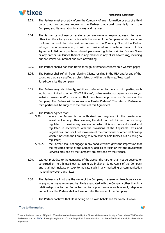

V

- 5.23. The Partner must promptly inform the Company of any information or acts of a third party that has become known to the Partner that could potentially harm the Company and its reputation in any way and manner.
- 5.24. The Partner cannot use or register a domain name or keywords, search terms or other identifiers for your activities with the name of the Company which may cause confusion without the prior written consent of the Company. Should the Partner infringe the aforementioned, it will be considered as a material breach of this Agreement. Bid on or purchase internet placement rights for a similar Domain Name or any part or similarities thereof in any manner in any of its advertising, including but not limited to, internet and web-advertising;
- 5.25. The Partner should not send traffic through automatic redirects on a website page;
- 5.26. The Partner shall refrain from referring Clients residing in the USA and/or any of the countries that are classified as black listed or within the Banned/Restricted Jurisdictions by the company.
- 5.27. The Partner may also identify, solicit and refer other Partners or third parties, such as, but not limited to other "IBs"/"Affiliates", online marketing organizations and/or website owners and/or operators that may become prospective Partners of the Company. The Partner will be known as a 'Master Partners'. The referred Partners or third parties will be subject to the terms of this Agreement.
- 5.28. The Partner agrees that:
	- 5.28.1. where the Partner is not authorised and regulated in the provision of investment or any other services, He shall not hold Himself out as being regulated to provide any services for which it is not duly authorised and regulated in accordance with the provisions of the Applicable Laws and Regulations, and shall not make use of the contractual or other relationship which it has with the Company, to represent or hold Himself out as being so regulated;
	- 5.28.2. the Partner shall not engage in any conduct which gives the impression that the regulated status of the Company applies to itself, or that the Investment Services provided by the Company are provided by the Partner.
- 5.29. Without prejudice to the generality of the above, the Partner shall not be deemed or construed or hold himself out as acting as broker or Sales Agent of the Company and shall not indicate or seek to indicate such in any marketing or communication material however transmitted.
- 5.30. The Partner shall not use the name of the Company in answering telephone calls or in any other ways represent that He is associated with the Company other than in a relationship of a Partner. In contracting for support services such as rent, telephone and utilities, the Partner shall not use or refer the name of the Company.
- 5.31. The Partner confirms that He is acting on his own behalf and for solely His own

## True to the market.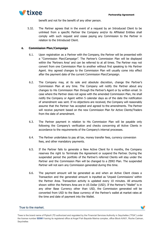



benefit and not for the benefit of any other person.

5.32. The Partner agrees that in the event of a request by an Introduced Client to be unlinked from a specific Partner the Company and/or its Affiliated Entities shall comply with such request and cease paying any Commission to the Partner in relation to the Introduced Client.

# **6. Commission Plan/Campaign**

- 6.1. Upon registration as a Partner with the Company, the Partner will be presented with a "Commission Plan/Campaign". The Partner's Commission Plan will be displayed within the 'Partners Area' and can be referred to at all times. The Partner may not convert from one Commission Plan to another without first speaking to His Partner Agent. Any agreed changes to the Commission Plan will usually come into effect after the payment date of the current Commission Plan/Campaign.
- 6.2. The Company may, at its sole and absolute discretion, change the Partner's Commission Plan at any time. The Company will notify the Partner about any changes to His Commission Plan through the Partner's Agent or by written email. In case where the Partner does not agree with the amended Commission Plan, He shall notify the Company or Agent within 5 calendar days as of the date the notification of amendment was sent. If no objections are received, the Company will reasonably assume that the Partner has accepted and agreed to the amendments. The Partner will receive payment based on the new Commission Plan for Active Clients/Traders from the date of amendment.
- 6.3. The Partner payment in relation to His Commission Plan will be payable only following the Company's verification and checks concerning all Active Clients in accordance to the requirements of the Company's internal processes.
- 6.4. The Partner undertakes to pay all tax, money transfer fees, currency conversion fees, and other mandatory payments.
- 6.5. If the Partner fails to generate a New Active Client for 6 months, the Company reserves the right to Terminate the Agreement or suspend the Partner. During the suspended period the portfolio of the Partner's referred Clients will stay under the Partner and the Commission Plan will be changed to a ZERO Plan. The suspended Partner will not earn any Commission generated during this time.
- 6.6. The payment amount will be generated as and when an Active Client closes a Transaction and the generated amount is inputted as 'Unpaid Commissions' within the Partner Area. Transaction activity is updated every 10 minutes. All amounts shown within the Partners Area are in US Dollar (USD). If the Partner's "Wallet" is in any other Base Currency other than USD, the Commission generated will be converted from USD to the Base currency of the Partner's wallet at market rates at the time and date of payment into the Wallet.

## True to the market.

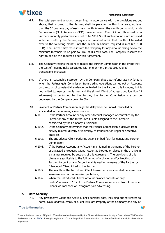

- 6.7. The total payment amount, determined in accordance with the provisions set out above, that is owed to the Partner, shall be payable monthly in arrears, no later than the 5<sup>th</sup> business day of each new month following the month during which such Commissions ("Lot Rebate or CPA") have accrued. The minimum threshold on a Partner's monthly performance is set to be 100 USD. If such amount is not achieved within a month by the Partner, any amount reached within that month will be rolled over to the following month until the minimum amount required is met (i.e. 100 USD). The Partner may request from the Company for any amount falling below the minimum threshold to be paid to Him, at His own cost. The Company reserves the right to decline this request as per this Agreement.
- 6.8. The Company retains the right to reduce the Partner Commission in the event that the cost of hedging risks associated with one or more Introduced Clients' transactions increases.
- 6.9. If there is reasonable suspicion by the Company that auto-referral activity (that is when the Partner gets Commission from trading operations carried out on Accounts by direct or circumstantial evidence controlled by the Partner; this includes, but is not limited to, use by the Partner and the signed Client of at least two identical IP addresses) is performed by the Partner, the Partner Commission size can be decreased by the Company down to 0%.
- 6.10. Payment of Partner Commission might be delayed or be unpaid, cancelled or suspended in the following circumstances:
	- 6.10.1. If the Partner Account or any other Account managed or controlled by the Partner or any of the Introduced Clients assigned to the Partner is considered by the Company suspicious;
	- 6.10.2. If the Company determines that the Partner Commission is derived from activity related, directly or indirectly, to fraudulent or illegal or deceptive practices;
	- 6.10.3. The Introduced Client performs actions in bad faith for generating Partner Commission;
	- 6.10.4. If the Partner Account, any Account maintained in the name of the Partner or attracted Introduced Client Account is blocked or placed in the archive in a manner required by sections of this Agreement. The provisions of this clause are applicable to the full period of archiving and/or blocking of Partner Account or any Account maintained in the name of the Partner or Introduced Client linked to the Partner;
	- 6.10.5. The results of the Introduced Client transactions are canceled because they were executed at non-market quotations;
	- 6.10.6. When the Introduced Client's Account balance consists of only credits/bonuses; 6.10.7. If the Partner Commission derived from Introduced Clients via Facebook or Instagram paid advertising.

# **7. Data Security**

7.1. Any prospective Client and Active Client's personal data, including but not limited to name, DOB, address, email, all Client lists, are Property of the Company and any of

## True to the market.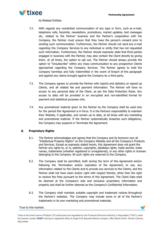

its Related Entities.

- 7.2. With regards any unsolicited communication of any type or form, such as e-mail, telephone calls, facsimile, newsletters, promotions, market updates, text messages etc, related to the Partner' business and the Partner's cooperation with the Company, the Partner must ensure that they have the person's consent prior to sending such communication. Furthermore, the Partner should not send any e-mail regarding the Company Services to any individual or entity that has not requested such information. Furthermore, the Partner should expressly state that third parties engaged in business with the Partner, may also contact the Client directly by giving them, at all times, the option to opt out. The Partner should always provide the option to "Unsubscribe" within any mass communication to any prospective Clients approached regarding the Company Services. The Partner agrees to hold the Company harmless and fully indemnified in the event of breach of this paragraph and against any claims brought against the Company by a third party.
- 7.3. The Company agrees to provide the Partner with reports and statistics on signed up Clients, and all related fee and payment information. The Partner will have no access to any personal data of the Client, as per the Data Protection Rules. Any access to data will be provided in an encrypted and non-identified format for payment and statistical purposes only.
- 7.4. Any promotional material given to the Partner by the Company shall be used only for the period this Agreement is in force. It is the Partners responsibility to maintain their Website, if applicable, and remain up to date, at all times with any marketing and promotional material. If the Partner systematically breaches such obligations, the Company may suspend or Terminate the Agreement.

## **8. Proprietary Rights**

- 8.1. The Partner acknowledges and agrees that the Company and its licensors own all "Intellectual Property Rights" on the Company Website and all the Company's Products and Services. Except as expressly stated herein, this Agreement does not grant the Partner any rights to, or in, patents, copyrights, database rights, trade secrets, trade names, trademarks (whether registered or unregistered), or any other rights or licenses belonging to the Company. All such rights are reserved to the Company.
- 8.2. The Company shall be permitted, both during the term of this Agreement and/or following the Termination and/or expiration of the Agreement, to use, any information related to the Clients and to provide any services to the Clients, and the Partner shall not have claim and/or right with respect thereto, other than the right to receive the Fees pursuant to the terms of this Agreement. The Client Data shall be deemed at the Company's sole and exclusive proprietary information and property and shall be further deemed as the Company's Confidential Information.
- 8.3. The Company shall maintain suitable copyright and trademark notices throughout the Partner's websites. The Company may include some or all of the Partner's trademarks in its own marketing and promotional materials.

## True to the market.

v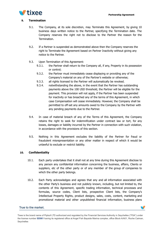

v

#### **9. Termination**

- 9.1. The Company, at its sole discretion, may Terminate this Agreement, by giving 10 business days written notice to the Partner, specifying the Termination date. The Company reserves the right not to disclose to the Partner the reason for the Termination.
- 9.2. If a Partner is suspended as demonstrated above then the Company reserves the right to Terminate the Agreement based on Partner Inactivity without giving any notice to the Partner.
- 9.3. Upon Termination of this Agreement:
	- 9.3.1. the Partner shall return to the Company all, if any, Property in its possession or control;
	- 9.3.2. the Partner must immediately cease displaying or providing any of the Company's material on any of the Partner's website or otherwise;
	- 9.3.3. all rights licensed to the Partner will automatically be revoked.
	- 9.3.4. notwithstanding the above, in the event that the Partner has outstanding payments above the 100 USD threshold, the Partner will be eligible for the payment. This provision will not apply, if the Partner has been suspended for inactivity or has breached any of the terms of this Agreement, in which case Compensation will cease immediately. However, the Company shall be permitted to off-set any amounts owed to the Company by the Partner with any pending payments due to the Partner.
- 9.4. In case of material breach of any of the Terms of this Agreement, the Company retains the right to seek for indemnification under contract law or tort, for any losses, damages or liability incurred by the Partner in connection with such violation, in accordance with the provisions of this section.
- 9.5. Nothing in this Agreement excludes the liability of the Partner for fraud or fraudulent misrepresentation or any other matter in respect of which it would be unlawful to exclude or restrict liability.

## **10. Confidentiality**

- 10.1. Each party undertakes that it shall not at any time during this Agreement disclose to any person any confidential information concerning the business, affairs, Clients or suppliers, etc of the other party or of any member of the group of companies to which the other party belongs.
- 10.2. Each Party acknowledges and agrees that any and all information associated with the other Party's business and not publicly known, including, but not limited to, the contents of this Agreement, specific trading information, technical processes and formulas, source codes, Client lists, prospective Client lists, the Company's Intellectual Property Rights, product designs, sales, costs, content, marketing and promotional material and other unpublished financial information, business plans

#### True to the market.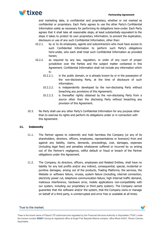

and marketing data, is confidential and proprietary, whether or not marked as confidential or proprietary. Each Party agrees to use the other Party's Confidential Information solely as necessary for performing its obligations here-under. Each Party agrees that it shall take all reasonable steps, at least substantially equivalent to the steps it takes to protect its own proprietary information, to prevent the duplication, disclosure or use of any such Confidential Information, other than:

- 10.2.1. by or to its employees, agents and subcontractors who must have access to such Confidential Information to perform such Party's obligations here-under, who each shall treat such Confidential Information as provided herein;
- 10.2.2. as required by any law, regulation, or order of any court of proper jurisdiction over the Parties and the subject matter contained in this Agreement. Confidential Information shall not include any information which is:
	- 10.2.2.1. in the public domain, or is already known by or in the possession of the non-disclosing Party, at the time of disclosure of such information;
	- 10.2.2.2. is independently developed by the non-disclosing Party without breaching any provisions of this Agreement;
	- 10.2.2.3. is thereafter rightly obtained by the non-disclosing Party from a source other than the disclosing Party without breaching any provision of this Agreement.
- 10.3. No Party shall use any other Party's Confidential Information for any purpose other than to exercise its rights and perform its obligations under or in connection with this Agreement.

# **11. Indemnity**

- 11.1. The Partner agrees to indemnify and hold harmless the Company (or any of its shareholders, directors, officers, employees, representatives or licensors) from and against any liability, claims, demands, proceedings, cost, damages, expenses (including legal fees) and penalties whatsoever suffered or incurred by us arising out of the Partner's negligence, willful default or fraud or breach of the Partner obligations under this Agreement.
- 11.2. The Company, its directors, officers, employees and Related Entities, shall have no liability for any lost profits and/or any indirect, consequential, special, incidental or punitive damages, arising out of the products, Trading Platforms, the services, the Website or software failure, viruses, system failure (including, internet connection, electricity power cut, telephone communication failure, high Internet traffic demand, malicious interference, hardware error, mobile applications non-compatibility with our system, including our proprietary or third party system). The Company cannot guarantee that the software and/or the system, that the Company owns or manage on behalf of a third party, is uninterrupted and error free or available at all times.

## True to the market.

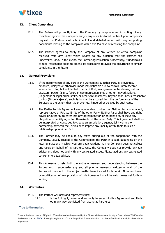

# **12. Client Complaints**

- 12.1. The Partner will promptly inform the Company by telephone and in writing, of any complaint against the Company and/or any of its Affiliated Entities Upon Company's request the Partner shall submit a full and detailed report with any supporting documents relating to the complaint within five (5) days of receiving the complaint.
- 12.2. The Partner agrees to notify the Company of any written or verbal complaint received from any Client which relates to any function that the Partner has undertaken, and, in the event, the Partner agrees action is necessary, it undertakes to take reasonable steps to amend its procedures to avoid the occurrence of similar complaints in the future.

#### **13. General Provisions**

- 13.1. If the performance of any part of this Agreement by either Party is prevented, hindered, delayed or otherwise made impracticable due to certain unforeseeable events, including but not limited to acts of God, war, governmental decree, natural disasters, power failure, failure in communication lines or other network failure, judgement or legal order, strike, or other circumstances, beyond that Party's reasonable control (Force Majeure), such Party shall be excused from the performance of the Services to the extent that it is prevented, hindered or delayed by such cause.
- 13.2. The Parties to this Agreement are independent contractors. Neither Party is an agent, representative or Related Entity of the other Party. Neither Party shall have any right, power or authority to enter into any agreement for, or on behalf of, or incur any obligation or liability of, or to otherwise bind, the other Party. This Agreement shall not be interpreted or construed to create an association, agency, joint venture or partnership between the Parties or to impose any liability attributable to such a relationship upon either Party.
- 13.3. The Partner may be liable to pay taxes arising out of the cooperation with the Company, usually related to the Commissions the Partner is paid, depending on the local jurisdictions in which you are a tax resident in. The Company does not collect any taxes on behalf of its Partners. Also, the Company does not provide any tax advice and does not deal with any tax related issues. Please address any tax related concerns to a tax advisor.
- 13.4. This Agreement, sets forth the entire Agreement and understanding between the Parties and it supersedes any and all prior Agreements, written or oral, of the Parties with respect to the subject matter hereof as set forth herein. No amendment or modification of any provision of this Agreement shall be valid unless set forth in writing.

## **14. Warranties**

- 14.1. The Partner warrants and represents that:
	- 14.1.1. He has full right, power and authority to enter into this Agreement and He is not in any way prohibited from acting as Partners;

w

#### True to the market.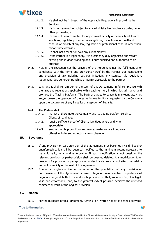

- 14.1.2. He shall not be in breach of the Applicable Regulations in providing the Services;
- 14.1.3. He is not bankrupt or subject to any administrative, insolvency order, tax or other proceedings;
- 14.1.4. He has not been convicted for any criminal activity or been subject to any sanctions, regulatory or other investigations, for unlawful or unethical conduct or breach of any law, regulation or professional conduct other than minor traffic offenses.
- 14.1.5. He shall not accept nor hold any Client Money;
- 14.1.6. If the Partner is a legal entity, it is a company duly organized and validly existing and in good standing and is duly qualified and authorized to do business
- 14.2. Neither the execution nor the delivery of this Agreement nor the fulfillment of or compliance with the terms and provisions hereof by the Partner shall contravene any provision of law including, without limitation, any statute, rule regulation, judgement, decree, order, franchise or permit applicable to the Partner.
- 14.3. It is, and it shall remain during the term of this Agreement, in full compliance with the laws and regulations applicable within each territory in which it shall market and promote the Trading Platforms. The Partner agrees to cease its marketing activities and/or cease the operation of the same in any territory requested by the Company upon the occurrence of any illegality or suspicion of illegality.
- 14.4. The Partner shall:
	- 14.4.1. market and promote the Company and its trading platform solely to Clients of legal age;
	- 14.4.2. require sufficient proof of Client's identities where and when appropriate;
	- 14.4.3. ensure that its promotions and related materials are in no way offensive, indecent, objectionable or obscene.

# **15. Severance**

- 15.1. If any provision or part-provision of this agreement is or becomes invalid, illegal or unenforceable, it shall be deemed modified to the minimum extent necessary to make it valid, legal and enforceable. If such modification is not possible, the relevant provision or part-provision shall be deemed deleted. Any modification to or deletion of a provision or part-provision under this clause shall not affect the validity and enforceability of the rest of this Agreement.
- 15.2. If one party gives notice to the other of the possibility that any provision or part-provision of this Agreement is invalid, illegal or unenforceable, the parties shall negotiate in good faith to amend such provision so that, as amended, it is legal, valid and enforceable, and, to the greatest extent possible, achieves the intended commercial result of the original provision.

## **16. Notice**

16.1. For the purposes of this Agreement, "writing" or "written notice" is defined as typed

v

#### True to the market.